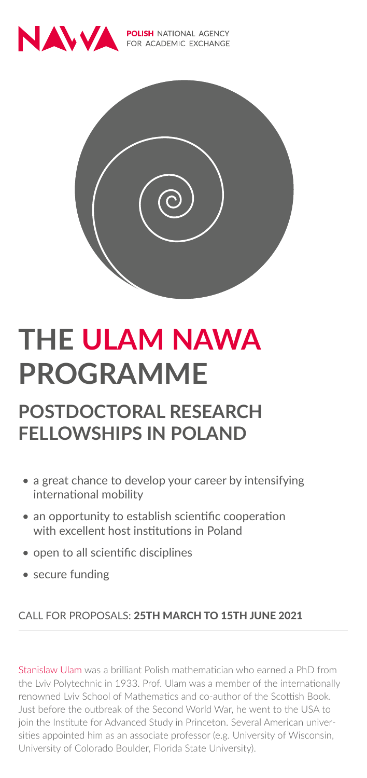

**POLISH** NATIONAL AGENCY FOR ACADEMIC EXCHANGE



# **THE ULAM NAWA PROGRAMME**

### **POSTDOCTORAL RESEARCH FELLOWSHIPS IN POLAND**

- a great chance to develop your career by intensifying international mobility
- an opportunity to establish scientific cooperation with excellent host institutions in Poland
- open to all scientific disciplines
- secure funding

#### CALL FOR PROPOSALS: 25TH MARCH TO 15TH JUNE 2021

Stanislaw Ulam was a brilliant Polish mathematician who earned a PhD from the Lviv Polytechnic in 1933. Prof. Ulam was a member of the internationally renowned Lviv School of Mathematics and co-author of the Scottish Book. Just before the outbreak of the Second World War, he went to the USA to join the Institute for Advanced Study in Princeton. Several American universities appointed him as an associate professor (e.g. University of Wisconsin, University of Colorado Boulder, Florida State University).